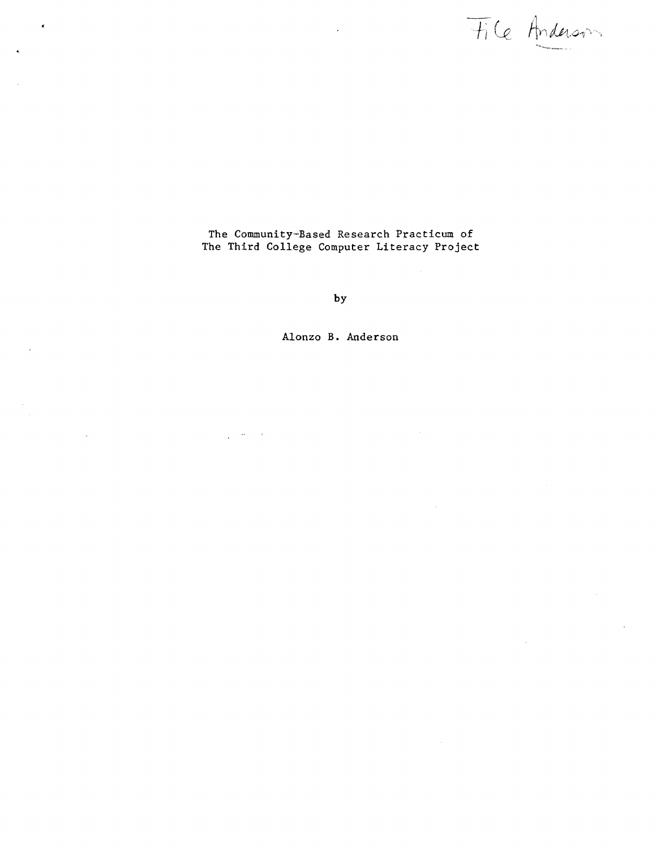File Anderson

The Community-Based Research Practicum of The Third College Computer Literacy Projec

**by** 

**Alonzo** B. **Anderson** 

i,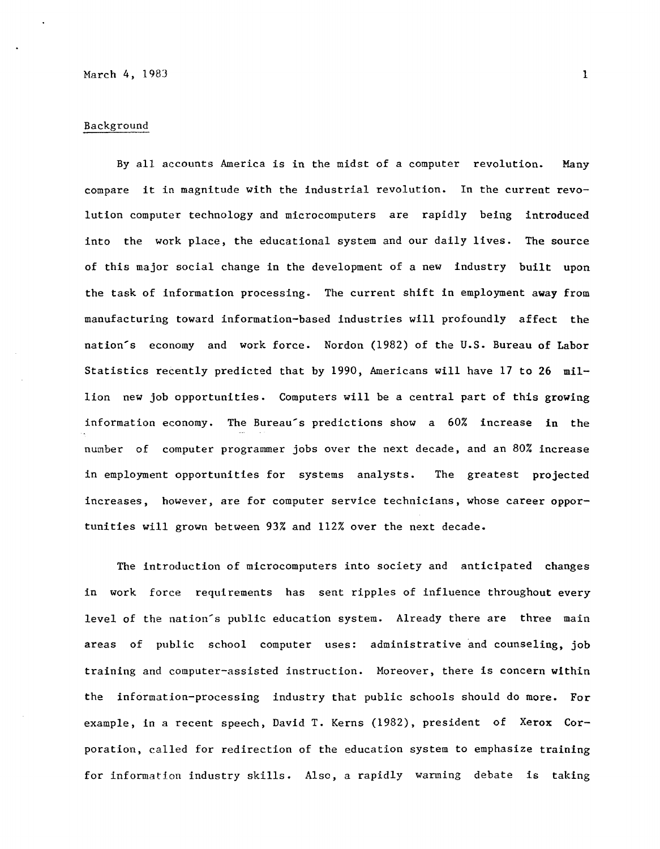### Background

By all accounts America is in the midst of a computer revolution. Many compare it in magnitude with the industrial revolution. In the current revolution computer technology and microcomputers are rapidly being introduced into the work place, the educational system and our daily lives. The source of this major social change in the development of a new industry built upon the task of information processing. The current shift in employment **away** from manufacturing toward information-based industries will profoundly affect the nation's economy and work force. Nordon (1982) of the U.S. Bureau of Labor Statistics recently predicted that by 1990, Americans will have 17 to 26 million new job opportunities. Computers will be a central part of this **growing**  information economy. The Bureau's predictions show a 60% increase in the number of computer programmer jobs over the next decade, and an 80% increase in employment opportunities for systems analysts. The greatest projected increases, however, are for computer service technicians, whose career opportunities will grown between 93% and 112% over the next decade.

The introduction of microcomputers into society and anticipated changes in work force requirements has sent ripples of influence throughout every level of the nation's public education system. Already there are three main areas of public school computer uses: administrative and counseling, job training and computer-assisted instruction. Moreover, there is concern within the information-processing industry that public schools should do more. For example, in a recent speech, David T. Kerns (1982), president of Xerox Corporation, called for redirection of the education system to emphasize training for information industry skills. Also, a rapidly warming debate is taking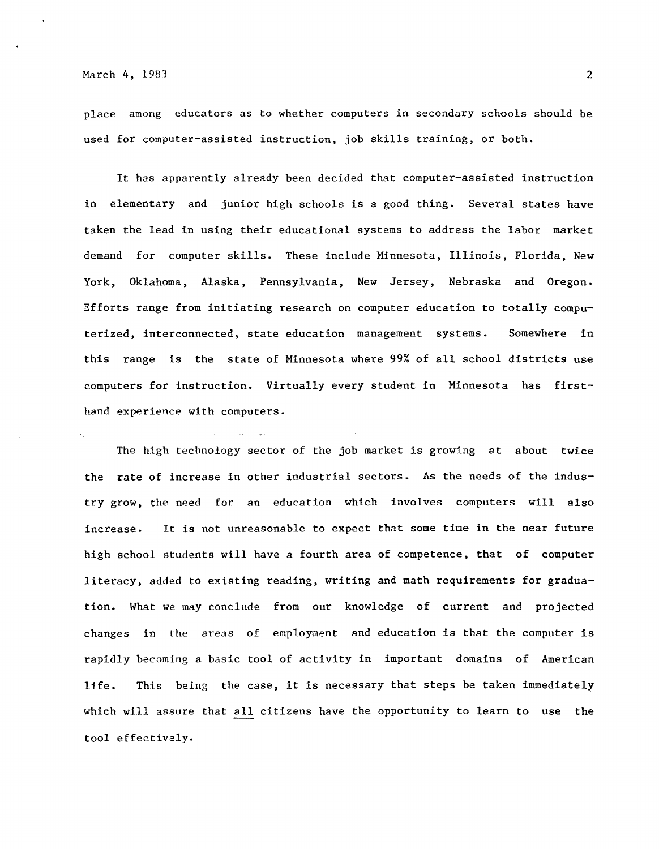place among educators as to whether computers in secondary schools should be used for computer-assisted instruction, job skills training, or both.

It has apparently already been decided that computer-assisted instruction in elementary and junior high schools is a good thing. Several states have taken the lead in using their educational systems to address the labor market demand for computer skills. These include Minnesota, Illinois, Florida, New York, Oklahoma, Alaska, Pennsylvania, New Jersey, Nebraska and Oregon. Efforts range from initiating research on computer education to totally computerized, interconnected, state education management systems. Somewhere in this range is the state of Minnesota where 99% of all school districts use computers for instruction. Virtually every student in Minnesota has firsthand experience with computers.

The high technology sector of the job market is growing at about twice the rate of increase in other industrial sectors. As the needs of the industry grow, the need for an education which involves computers will also increase. It is not unreasonable to expect that some time in the near future high school students will have a fourth area of competence, that of computer literacy, added to existing reading, writing and math requirements for graduation. What we may conclude from our knowledge of current and projected changes in the areas of employment and education is that the computer is rapidly becoming a basic tool of activity in important domains of American life. This being the case, it is necessary that steps be taken immediately which will assure that all citizens have the opportunity to learn to use the tool effectively.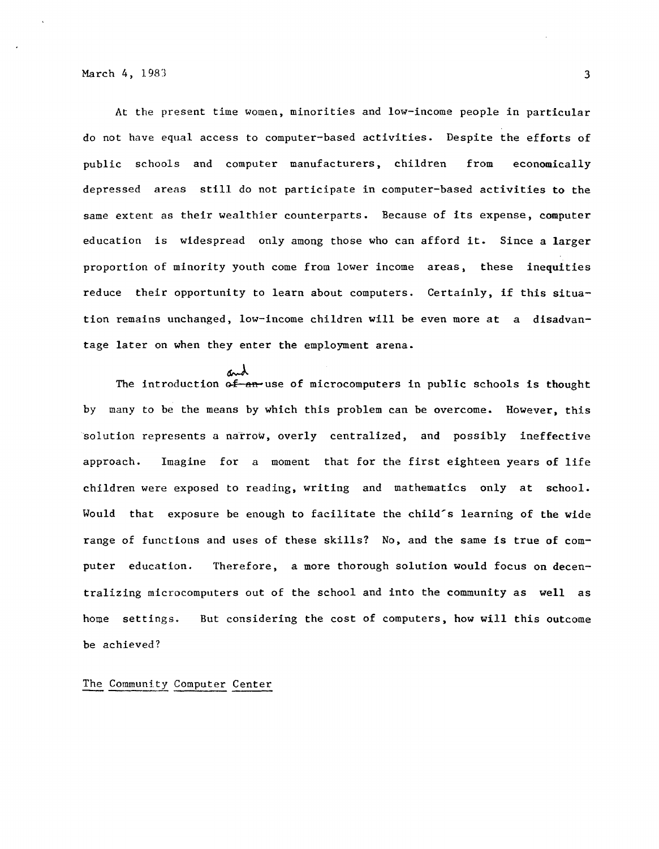At the present time women, minorities and low-income people in particular do not have equal access to computer-based activities. Despite the efforts of public schools and computer manufacturers, children from economically depressed areas still do not participate in computer-based activities **to** the same extent as their wealthier counterparts. Because of its expense, computer education is widespread only among those who can afford it. Since a larger proportion of minority youth come from lower income areas, these inequities reduce their opportunity to learn about computers. Certainly, if this situation remains unchanged, low-income children will be even more at a disadvantage later on when they enter the employment arena.

The introduction of an use of microcomputers in public schools is thought by many to be the means by which this problem can be overcome. However, this 'solution represents a narrow, overly centralized, and possibly ineffective approach. Imagine for a moment that for the first eighteen years of life children were exposed to reading, writing and mathematics only at school. Would that exposure be enough to facilitate the child's learning of the wide range of functions and uses of these skills? No, and the same is true of computer education. Therefore, a more thorough solution would focus on decentralizing microcomputers out of the school and into the community as **well** as home settings. be achieved? But considering the cost of computers, how will this outcome

# The Community Computer Center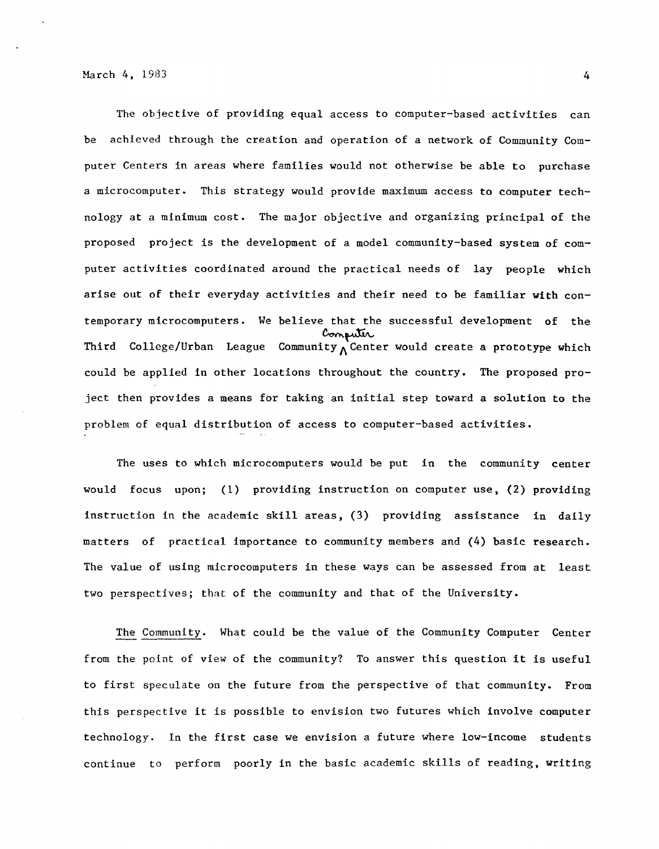The objective of providing equal access to computer-based activities can be achieved through the creation and operation of a network of Community Computer Centers in areas where families would not otherwise be able to purchase a microcomputer. This strategy would provide maximum access to computer technology at a minimum cost. The major objective and organizing principal of the proposed project is the development of a model community-based system of computer activities coordinated around the practical needs of lay people which arise out of their everyday activities and their need to be familiar **with** contemporary microcomputers. We believe that the successful development of the  $_{\text{Comput}}$  Compuliation Connection Connection Community  $_{\Lambda}$  Center would create a prototype which could be applied in other locations throughout the country. The proposed project then provides a means for taking an initial step toward a solution to the problem of equal distribution of access to computer-based activities.

The uses to which microcomputers would be put in the community center would focus upon; (1) providing instruction on computer use, (2) providing instruction in the academic skill areas, (3) providing assistance in daily matters of practical importance to community members and (4) basic research. The value of using microcomputers in these ways can be assessed from at least two perspectives; that of the community and that of the University.

The Community. What could be the value of the Community Computer Center from the point of view of the community? To answer this question it is useful to first speculate on the future from the perspective of that community. From this perspective it is possible to envision two futures which involve computer technology. In the first case we envision a future where low-income students continue to perform poorly in the basic academic skills of reading, writing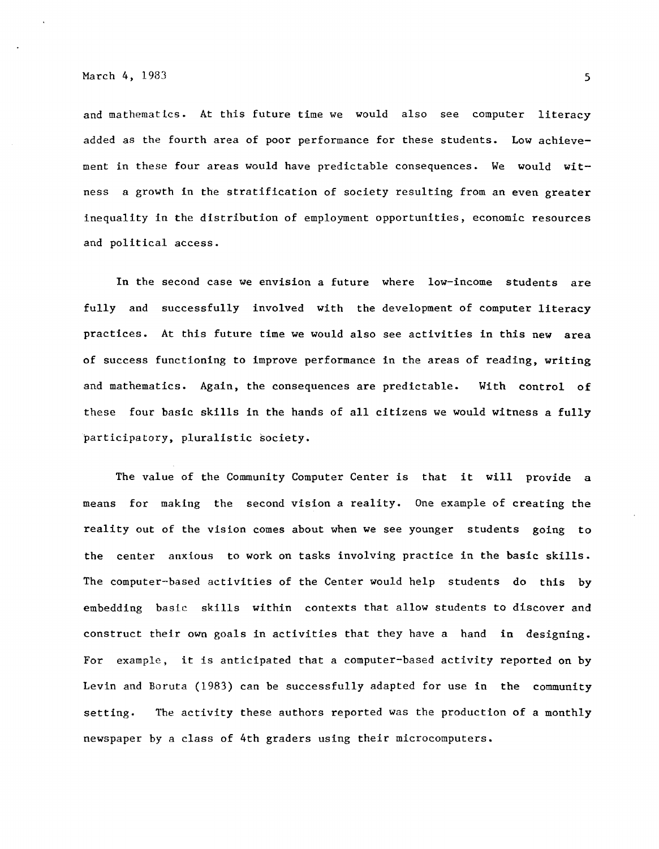and mathematics. At this future time we would also see computer literacy added as the fourth area of poor performance for these students. Low achievement in these four areas would have predictable consequences. We would **wit**ness a growth in the stratification of society resulting from an even greater inequality in the distribution of employment opportunities, economic resources and political access.

In the second case we envision a future where low-income students are fully and successfully involved with the development of computer literacy practices. At this future time we would also see activities in this new area of success functioning to improve performance in the areas of reading, writing and mathematics. Again, the consequences are predictable. With control of these four basic skills in the hands of all citizens we would witness a fully participatory, pluralistic society.

The value of the Community Computer Center is that it will provide a means for making the second vision a reality. One example of creating the reality out of the vision comes about when we see younger students going to the center anxious to work on tasks involving practice in the basic skills. The computer-based activities of the Center would help students do this by embedding basic skills within contexts that allow students to discover and construct their own goals in activities that they have a hand in designing. For example, it is anticipated that a computer-based activity reported on by Levin and Boruta (1983) can be successfully adapted for use in the community setting. The activity these authors reported was the production of a monthly newspaper by a class of 4th graders using their microcomputers.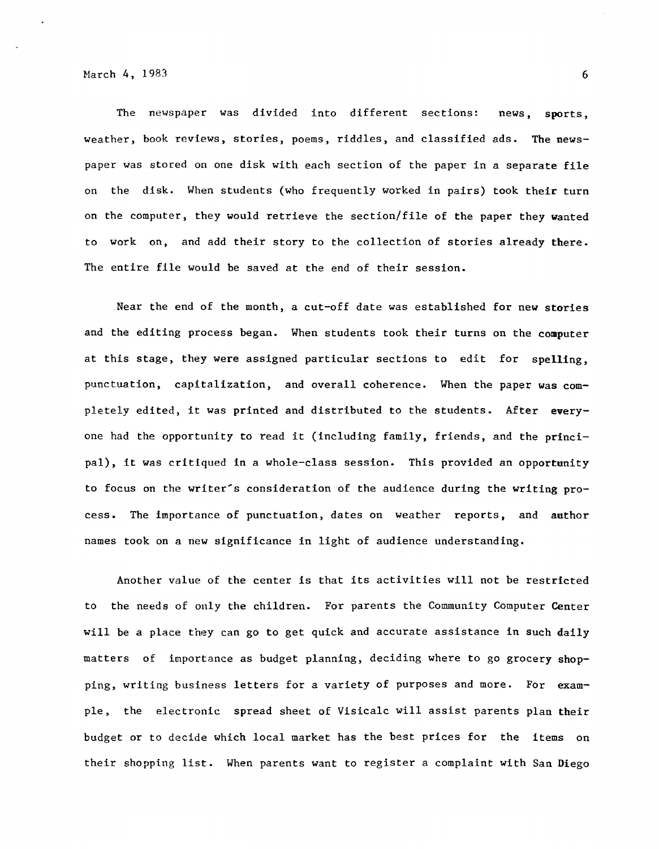The newspaper was divided into different sections: news, sports, weather, book reviews, stories, poems, riddles, and classified ads. The newspaper was stored on one disk with each section of the paper in a separate file on the disk. When students (who frequently worked in pairs) took their turn on the computer, they would retrieve the section/file of the paper they wanted to work on, and add their story to the collection of stories already there. The entire file would be saved at the end of their session.

Near the end of the month, a cut-off date was established for new stories and the editing process began. When students took their turns on the computer at this stage, they were assigned particular sections to edit for spelling, punctuation, capitalization, and overall coherence. When the paper was completely edited, it was printed and distributed *to* the students. After **every**one had the opportunity to read it (including family, friends, and the principal), it was critiqued in a whole-class session. This provided an opportunity to focus on the writer's consideration of the audience during the writing process. The importance of punctuation, dates on weather reports, and author names took on a new significance in light of audience understanding.

Another value of the center is that its activities will not be restricted to the needs of only the children. For parents the Community Computer Center will be a place they can go to get quick and accurate assistance in such daily matters of importance as budget planning, deciding where to go grocery shopping, writing business letters for a variety of purposes and more. For example, the electronic spread sheet of Visicalc will assist parents plan their budget or to decide which local market has the best prices for the items on their shopping list. When parents want to register a complaint with San Diego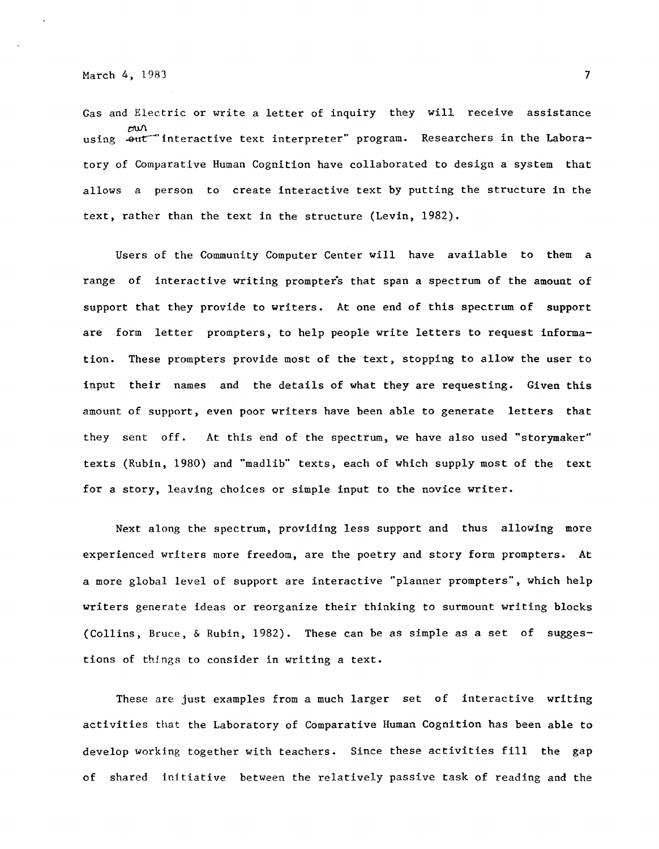Gas and Electric or write a letter of inquiry they will receive assistance  $M\Omega$ using  $-$ out interactive text interpreter" program. Researchers in the Laboratory of Comparative Human Cognition have collaborated to design a system that allows a person to create interactive text by putting the structure **in** the text, rather than the text in the structure (Levin, 1982).

Users of the Community Computer Center will have available to them a range of interactive writing prompters that span a spectrum of the amount of support that they provide to writers. At one end of this spectrum of support are form letter prompters, to help people write letters to request information. These prompters provide most of the text, stopping to allow the user to input their names and the details of what they are requesting. Given this amount of support, even poor writers have been able to generate letters that they sent off. At this end of the spectrum, we have also used "storymaker" texts (Rubin, 1980) and "madlib" texts, each of which supply most of the text for a story, leaving choices or simple input to the novice writer.

Next along the spectrum, providing less support and thus allowing more experienced writers more freedom, are the poetry and story form prompters. At a more global level of support are interactive "planner prompters", which help writers generate ideas or reorganize their thinking to surmount writing blocks (Collins, Bruce, & Rubin, 1982). These can be as simple as a set of suggestions of things to consider in writing a text.

These are just examples from a much larger set of interactive writing activities that the Laboratory of Comparative Human Cognition has been able to develop working together with teachers. Since these activities fill the gap of shared initiative between the relatively passive task of reading and the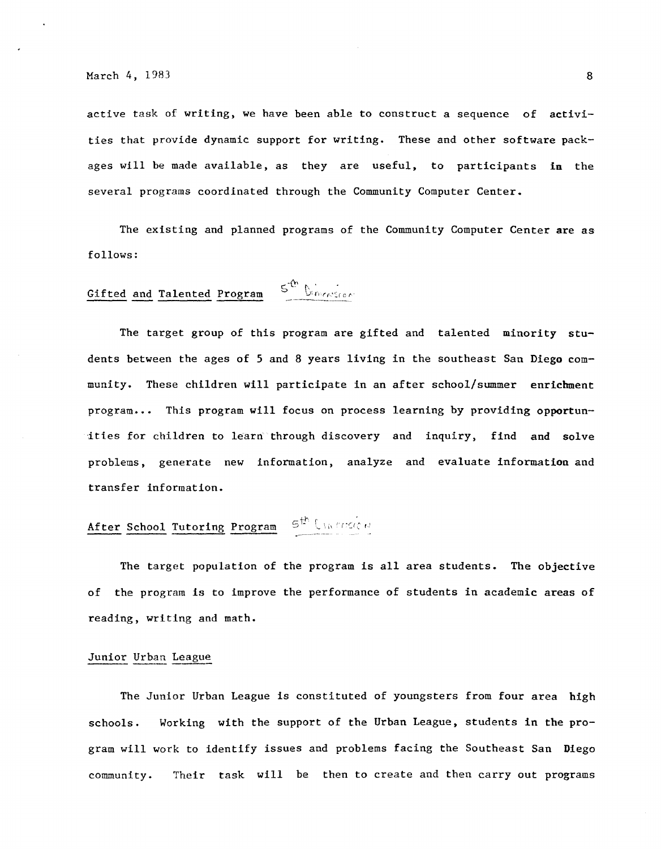active task of writing, we have been able to construct a sequence of activities that provide dynamic support for writing. These and other software packages will be made available, as they are useful, to participants **in** the several programs coordinated through the Community Computer Center.

The existing and planned programs of the Community Computer Center are as follows:

### $5^{th}$  Dimension Gifted and Talented Program

The target group of this program are gifted and talented minority students between the ages of *5* and 8 years living in the southeast San Diego community. These children will participate in an after school/summer enrichment program ... This program will focus on process learning by providing opportunities for children to learn through discovery and inquiry, find and solve problems, generate new information, analyze and evaluate information and transfer information.

# After School Tutoring Program  $S^{th}$  Uncerted  $\theta$

The target population of the program is all area students. The objective of the program is to improve the performance of students in academic areas of reading, writing and math.

# Junior Urban League

The Junior Urban League is constituted of youngsters from four area high schools. Working with the support of the Urban League, students in the program will work to identify issues and problems facing the Southeast San Diego community. Their task will be then to create and then carry out programs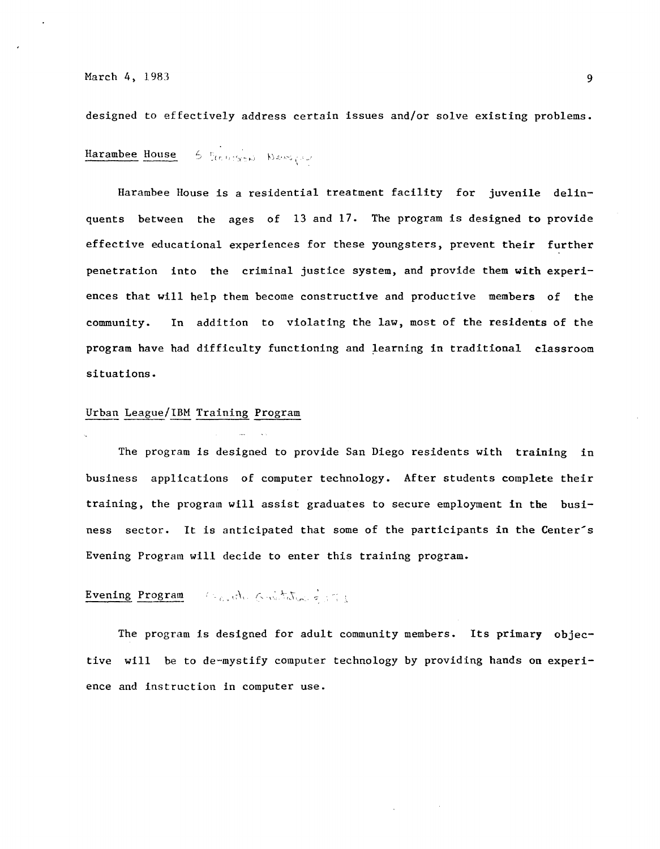designed to effectively address certain issues and/or solve existing problems.

5 Control Newspap Harambee House

Harambee House is a residential treatment facility for juvenile delinquents between the ages of 13 and 17. The program is designed **to** provide effective educational experiences for these youngsters, prevent their further penetration into the criminal justice system, and provide them **with** experiences that will help them become constructive and productive members of the community. In addition to violating the law, most of the residents of the program have had difficulty functioning and learning in traditional classroom situations.

#### Urban League/IBM Training Program

The program is designed to provide San Diego residents with training in business applications of computer technology. After students complete their training, the program will assist graduates to secure employment in the business sector. It is anticipated that some of the participants in the Center's Evening Program will decide to enter this training program.

#### Reporter Gristation = 171 Evening Program

The program is designed for adult community members. Its primary objective will be to de-mystify computer technology by providing hands on experience and instruction in computer use.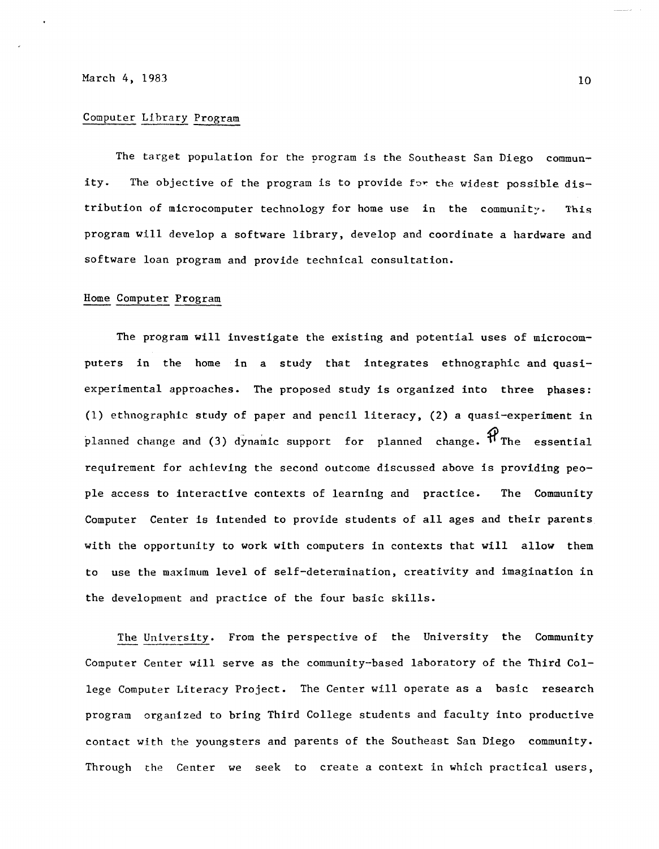#### Computer Llbrary Program

The target population for the program is the Southeast San Diego community. The objective of the program is to provide for the widest possible distribution of microcomputer technology for home use in the community. This program will develop a software library, develop and coordinate a hardware and software loan program and provide technical consultation.

### Home Computer Program

The program will investigate the existing and potential uses of microcomputers in the home in a study that integrates ethnographic and quasiexperimental approaches. The proposed study is organized into three **phases:**  (1) ethnographic study of paper and pencil literacy, (2) a quasi-experiment in planned change and (3) dynamic support for planned change.  $\mathcal{H}_{\text{The essential}}$ requirement for achieving the second outcome discussed above is providing people access to interactive contexts of learning and practice. The Community Computer Center is intended to provide students of all ages and their parents with the opportunity to work with computers in contexts that will allow them to use the maximum level of self-determination, creativity and imagination in the development and practice of the four basic skills.

The University. From the perspective of the University the Community Computer Center will serve as the community-based laboratory of the Third College Computer Literacy Project. The Center will operate as a basic research program organized to bring Third College students and faculty into productive contact with the youngsters and parents of the Southeast San Diego community. Through the Center we seek to create a context in which practical users,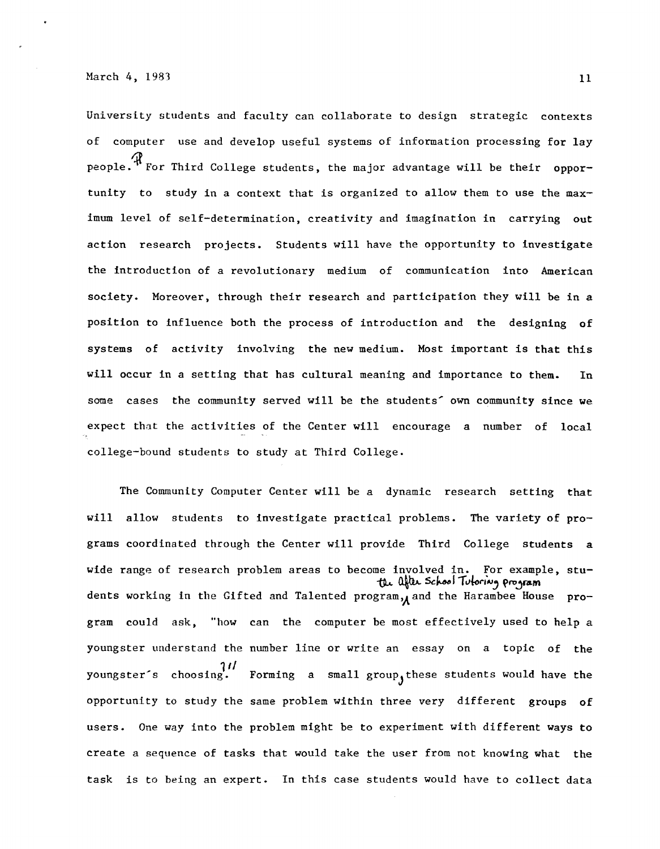University students and faculty can collaborate to design strategic contexts computer use and develop useful systems of information processing for lay people.<sup> $\mathcal H$ </sup> For Third College students, the major advantage will be their opportunity to study in a context that is organized to allow them to use the maximum level of self-determination, creativity and imagination in carrying out action research projects. Students will have the opportunity to investigate the introduction of a revolutionary medium of communication into American society. Moreover, through their research and participation they will be in a position to influence both the process of introduction and the designing of systems of activity involving the new medium. Most important is that this will occur in a setting that has cultural meaning and importance to them. In some cases the community served will be the students' own community since we expect that the activities of the Center will encourage a number of local college-bound students to study at Third College.

The Community Computer Center will be a dynamic research setting that will allow students to investigate practical problems. The variety of programs coordinated through the Center will provide Third College students a wide range of research problem areas to become involved in. For example, stu the after school Tutoring program dents working in the Gifted and Talented program, and the Harambee House program could ask, "how can the computer be most effectively used to help a youngster understand the number line or write an essay on a topic of the  $11$ <br>youngster's choosing. Forming a small group, these students would have the opportunity to study the same problem within three very different groups of users. One way into the problem might be to experiment with different ways to create a sequence of tasks that would take the user from not knowing what the task is to being an expert. In this case students would have to collect data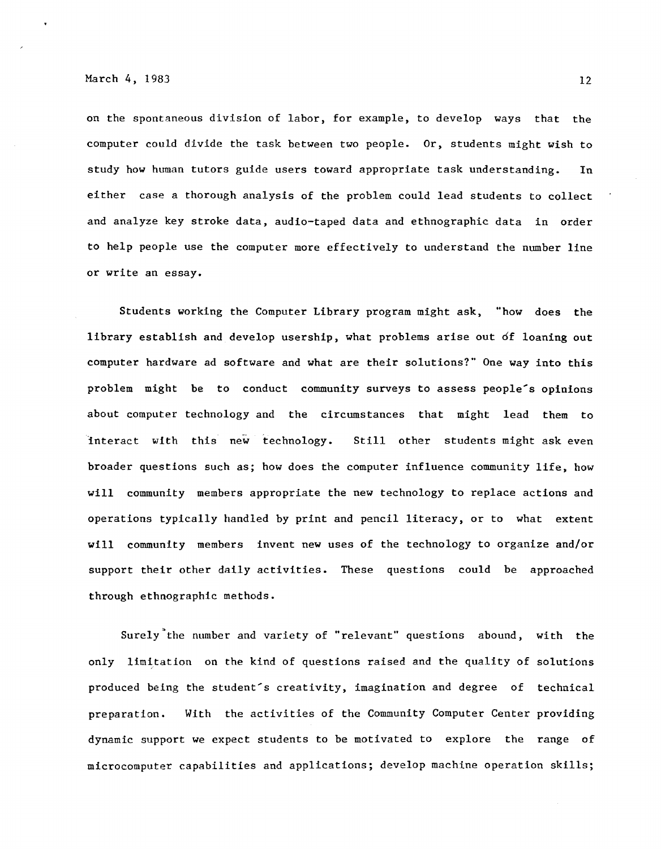on the spontaneous division of labor, for example, to develop ways that the computer could divide the task between two people. Or, students might wish to study how human tutors guide users toward appropriate task understanding. In either case a thorough analysis of the problem could lead students to collect and analyze key stroke data, audio-taped data and ethnographic data in order to help people use the computer more effectively to understand the number line or write an essay.

Students working the Computer Library program might ask, "how does the library establish and develop usership, what problems arise out of loaning out computer hardware ad software and what are their solutions?" One way into this problem might be to conduct community surveys to assess people's opinions about computer technology and the circumstances that might lead them to interact with this new technology. Still other students might ask even broader questions such as; how does the computer influence community life, how will community members appropriate the new technology to replace actions and operations typically handled by print and pencil literacy, or to what extent will community members invent new uses of the technology to organize and/or support their other daily activities. These questions could be approached through ethnographic methods.

Surely"the number and variety of "relevant" questions abound, with the only limitation on the kind of questions raised and the quality of solutions produced being the student's creativity, imagination and degree of technical preparation. With the activities of the Community Computer Center providing dynamic support we expect students to be motivated to explore the range of microcomputer capabilities and applications; develop machine operation skills;